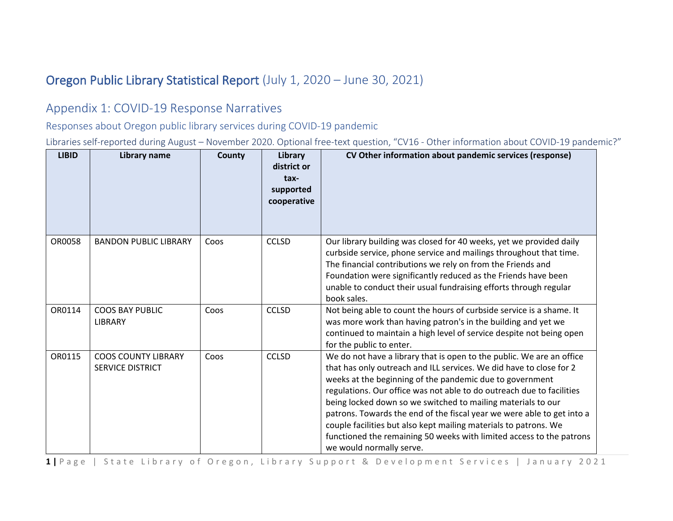## Oregon Public Library Statistical Report (July 1, 2020 – June 30, 2021)

## Appendix 1: COVID-19 Response Narratives

Responses about Oregon public library services during COVID-19 pandemic

Libraries self-reported during August – November 2020. Optional free-text question, "CV16 - Other information about COVID-19 pandemic?"

| <b>LIBID</b> | Library name                                          | County | Library<br>district or<br>tax-<br>supported<br>cooperative | CV Other information about pandemic services (response)                                                                                                                                                                                                                                                                                                                                                                                                                                                                                                                                             |
|--------------|-------------------------------------------------------|--------|------------------------------------------------------------|-----------------------------------------------------------------------------------------------------------------------------------------------------------------------------------------------------------------------------------------------------------------------------------------------------------------------------------------------------------------------------------------------------------------------------------------------------------------------------------------------------------------------------------------------------------------------------------------------------|
| OR0058       | <b>BANDON PUBLIC LIBRARY</b>                          | Coos   | <b>CCLSD</b>                                               | Our library building was closed for 40 weeks, yet we provided daily<br>curbside service, phone service and mailings throughout that time.<br>The financial contributions we rely on from the Friends and<br>Foundation were significantly reduced as the Friends have been<br>unable to conduct their usual fundraising efforts through regular<br>book sales.                                                                                                                                                                                                                                      |
| OR0114       | <b>COOS BAY PUBLIC</b><br><b>LIBRARY</b>              | Coos   | <b>CCLSD</b>                                               | Not being able to count the hours of curbside service is a shame. It<br>was more work than having patron's in the building and yet we<br>continued to maintain a high level of service despite not being open<br>for the public to enter.                                                                                                                                                                                                                                                                                                                                                           |
| OR0115       | <b>COOS COUNTY LIBRARY</b><br><b>SERVICE DISTRICT</b> | Coos   | <b>CCLSD</b>                                               | We do not have a library that is open to the public. We are an office<br>that has only outreach and ILL services. We did have to close for 2<br>weeks at the beginning of the pandemic due to government<br>regulations. Our office was not able to do outreach due to facilities<br>being locked down so we switched to mailing materials to our<br>patrons. Towards the end of the fiscal year we were able to get into a<br>couple facilities but also kept mailing materials to patrons. We<br>functioned the remaining 50 weeks with limited access to the patrons<br>we would normally serve. |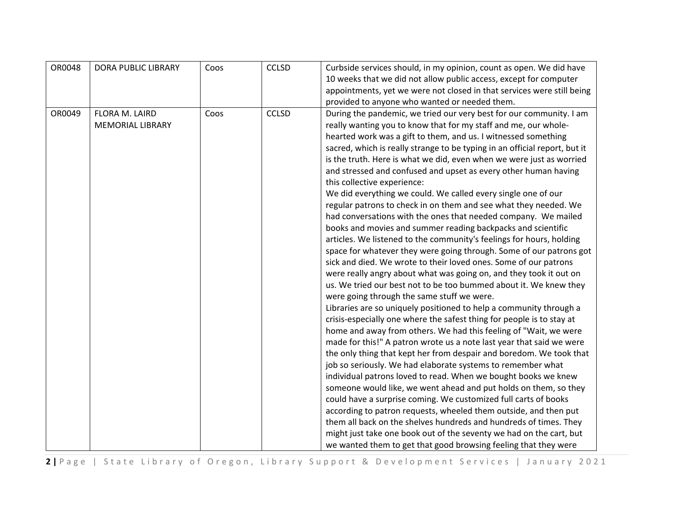| OR0048 | <b>DORA PUBLIC LIBRARY</b> | Coos | <b>CCLSD</b> | Curbside services should, in my opinion, count as open. We did have        |
|--------|----------------------------|------|--------------|----------------------------------------------------------------------------|
|        |                            |      |              | 10 weeks that we did not allow public access, except for computer          |
|        |                            |      |              | appointments, yet we were not closed in that services were still being     |
|        |                            |      |              | provided to anyone who wanted or needed them.                              |
| OR0049 | FLORA M. LAIRD             | Coos | <b>CCLSD</b> | During the pandemic, we tried our very best for our community. I am        |
|        | <b>MEMORIAL LIBRARY</b>    |      |              | really wanting you to know that for my staff and me, our whole-            |
|        |                            |      |              | hearted work was a gift to them, and us. I witnessed something             |
|        |                            |      |              | sacred, which is really strange to be typing in an official report, but it |
|        |                            |      |              | is the truth. Here is what we did, even when we were just as worried       |
|        |                            |      |              | and stressed and confused and upset as every other human having            |
|        |                            |      |              | this collective experience:                                                |
|        |                            |      |              | We did everything we could. We called every single one of our              |
|        |                            |      |              | regular patrons to check in on them and see what they needed. We           |
|        |                            |      |              | had conversations with the ones that needed company. We mailed             |
|        |                            |      |              | books and movies and summer reading backpacks and scientific               |
|        |                            |      |              | articles. We listened to the community's feelings for hours, holding       |
|        |                            |      |              | space for whatever they were going through. Some of our patrons got        |
|        |                            |      |              | sick and died. We wrote to their loved ones. Some of our patrons           |
|        |                            |      |              | were really angry about what was going on, and they took it out on         |
|        |                            |      |              | us. We tried our best not to be too bummed about it. We knew they          |
|        |                            |      |              | were going through the same stuff we were.                                 |
|        |                            |      |              | Libraries are so uniquely positioned to help a community through a         |
|        |                            |      |              | crisis-especially one where the safest thing for people is to stay at      |
|        |                            |      |              | home and away from others. We had this feeling of "Wait, we were           |
|        |                            |      |              | made for this!" A patron wrote us a note last year that said we were       |
|        |                            |      |              | the only thing that kept her from despair and boredom. We took that        |
|        |                            |      |              | job so seriously. We had elaborate systems to remember what                |
|        |                            |      |              | individual patrons loved to read. When we bought books we knew             |
|        |                            |      |              | someone would like, we went ahead and put holds on them, so they           |
|        |                            |      |              | could have a surprise coming. We customized full carts of books            |
|        |                            |      |              | according to patron requests, wheeled them outside, and then put           |
|        |                            |      |              | them all back on the shelves hundreds and hundreds of times. They          |
|        |                            |      |              | might just take one book out of the seventy we had on the cart, but        |
|        |                            |      |              | we wanted them to get that good browsing feeling that they were            |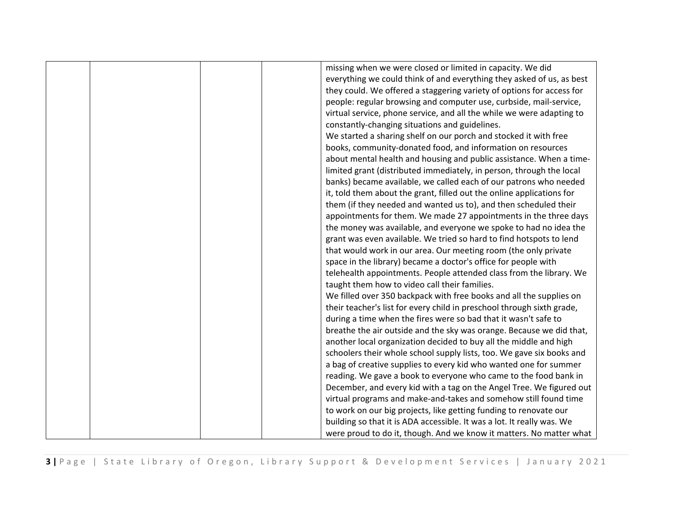|  | missing when we were closed or limited in capacity. We did             |
|--|------------------------------------------------------------------------|
|  | everything we could think of and everything they asked of us, as best  |
|  | they could. We offered a staggering variety of options for access for  |
|  | people: regular browsing and computer use, curbside, mail-service,     |
|  | virtual service, phone service, and all the while we were adapting to  |
|  | constantly-changing situations and guidelines.                         |
|  | We started a sharing shelf on our porch and stocked it with free       |
|  | books, community-donated food, and information on resources            |
|  | about mental health and housing and public assistance. When a time-    |
|  | limited grant (distributed immediately, in person, through the local   |
|  | banks) became available, we called each of our patrons who needed      |
|  | it, told them about the grant, filled out the online applications for  |
|  | them (if they needed and wanted us to), and then scheduled their       |
|  | appointments for them. We made 27 appointments in the three days       |
|  | the money was available, and everyone we spoke to had no idea the      |
|  | grant was even available. We tried so hard to find hotspots to lend    |
|  | that would work in our area. Our meeting room (the only private        |
|  | space in the library) became a doctor's office for people with         |
|  | telehealth appointments. People attended class from the library. We    |
|  | taught them how to video call their families.                          |
|  | We filled over 350 backpack with free books and all the supplies on    |
|  | their teacher's list for every child in preschool through sixth grade, |
|  | during a time when the fires were so bad that it wasn't safe to        |
|  | breathe the air outside and the sky was orange. Because we did that,   |
|  | another local organization decided to buy all the middle and high      |
|  | schoolers their whole school supply lists, too. We gave six books and  |
|  | a bag of creative supplies to every kid who wanted one for summer      |
|  | reading. We gave a book to everyone who came to the food bank in       |
|  | December, and every kid with a tag on the Angel Tree. We figured out   |
|  | virtual programs and make-and-takes and somehow still found time       |
|  | to work on our big projects, like getting funding to renovate our      |
|  | building so that it is ADA accessible. It was a lot. It really was. We |
|  | were proud to do it, though. And we know it matters. No matter what    |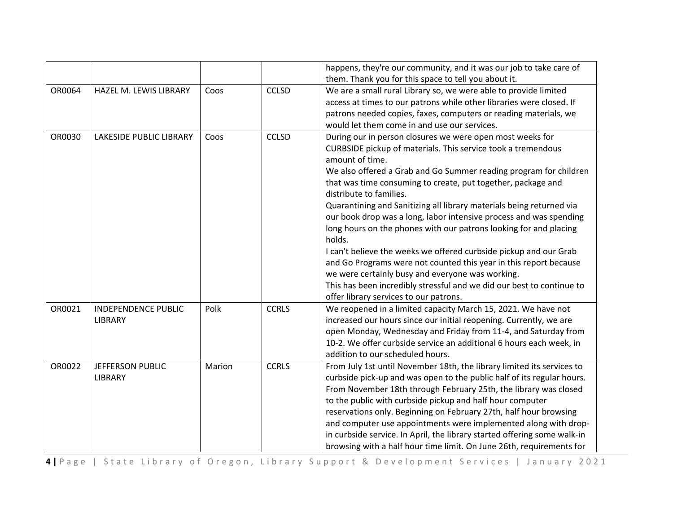|        |                                       |        |              | happens, they're our community, and it was our job to take care of<br>them. Thank you for this space to tell you about it.                                                                                                                                                                                                                                                                                                                                                                                                                                                                                                                                                                                                                                                                                                                                 |
|--------|---------------------------------------|--------|--------------|------------------------------------------------------------------------------------------------------------------------------------------------------------------------------------------------------------------------------------------------------------------------------------------------------------------------------------------------------------------------------------------------------------------------------------------------------------------------------------------------------------------------------------------------------------------------------------------------------------------------------------------------------------------------------------------------------------------------------------------------------------------------------------------------------------------------------------------------------------|
| OR0064 | HAZEL M. LEWIS LIBRARY                | Coos   | <b>CCLSD</b> | We are a small rural Library so, we were able to provide limited<br>access at times to our patrons while other libraries were closed. If<br>patrons needed copies, faxes, computers or reading materials, we<br>would let them come in and use our services.                                                                                                                                                                                                                                                                                                                                                                                                                                                                                                                                                                                               |
| OR0030 | <b>LAKESIDE PUBLIC LIBRARY</b>        | Coos   | <b>CCLSD</b> | During our in person closures we were open most weeks for<br>CURBSIDE pickup of materials. This service took a tremendous<br>amount of time.<br>We also offered a Grab and Go Summer reading program for children<br>that was time consuming to create, put together, package and<br>distribute to families.<br>Quarantining and Sanitizing all library materials being returned via<br>our book drop was a long, labor intensive process and was spending<br>long hours on the phones with our patrons looking for and placing<br>holds.<br>I can't believe the weeks we offered curbside pickup and our Grab<br>and Go Programs were not counted this year in this report because<br>we were certainly busy and everyone was working.<br>This has been incredibly stressful and we did our best to continue to<br>offer library services to our patrons. |
| OR0021 | <b>INDEPENDENCE PUBLIC</b><br>LIBRARY | Polk   | <b>CCRLS</b> | We reopened in a limited capacity March 15, 2021. We have not<br>increased our hours since our initial reopening. Currently, we are<br>open Monday, Wednesday and Friday from 11-4, and Saturday from<br>10-2. We offer curbside service an additional 6 hours each week, in<br>addition to our scheduled hours.                                                                                                                                                                                                                                                                                                                                                                                                                                                                                                                                           |
| OR0022 | JEFFERSON PUBLIC<br><b>LIBRARY</b>    | Marion | <b>CCRLS</b> | From July 1st until November 18th, the library limited its services to<br>curbside pick-up and was open to the public half of its regular hours.<br>From November 18th through February 25th, the library was closed<br>to the public with curbside pickup and half hour computer<br>reservations only. Beginning on February 27th, half hour browsing<br>and computer use appointments were implemented along with drop-<br>in curbside service. In April, the library started offering some walk-in<br>browsing with a half hour time limit. On June 26th, requirements for                                                                                                                                                                                                                                                                              |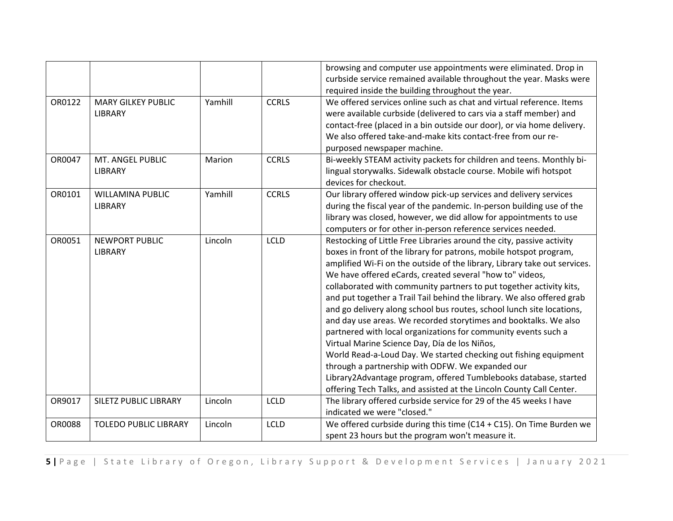|        |                              |         |              | browsing and computer use appointments were eliminated. Drop in<br>curbside service remained available throughout the year. Masks were |
|--------|------------------------------|---------|--------------|----------------------------------------------------------------------------------------------------------------------------------------|
|        |                              |         |              | required inside the building throughout the year.                                                                                      |
| OR0122 | <b>MARY GILKEY PUBLIC</b>    | Yamhill | <b>CCRLS</b> | We offered services online such as chat and virtual reference. Items                                                                   |
|        | LIBRARY                      |         |              | were available curbside (delivered to cars via a staff member) and                                                                     |
|        |                              |         |              | contact-free (placed in a bin outside our door), or via home delivery.                                                                 |
|        |                              |         |              | We also offered take-and-make kits contact-free from our re-                                                                           |
|        |                              |         |              | purposed newspaper machine.                                                                                                            |
| OR0047 | MT. ANGEL PUBLIC             | Marion  | <b>CCRLS</b> | Bi-weekly STEAM activity packets for children and teens. Monthly bi-                                                                   |
|        | LIBRARY                      |         |              | lingual storywalks. Sidewalk obstacle course. Mobile wifi hotspot                                                                      |
|        |                              |         |              | devices for checkout.                                                                                                                  |
| OR0101 | WILLAMINA PUBLIC             | Yamhill | <b>CCRLS</b> | Our library offered window pick-up services and delivery services                                                                      |
|        | LIBRARY                      |         |              | during the fiscal year of the pandemic. In-person building use of the                                                                  |
|        |                              |         |              | library was closed, however, we did allow for appointments to use                                                                      |
|        |                              |         |              | computers or for other in-person reference services needed.                                                                            |
| OR0051 | <b>NEWPORT PUBLIC</b>        | Lincoln | <b>LCLD</b>  | Restocking of Little Free Libraries around the city, passive activity                                                                  |
|        | LIBRARY                      |         |              | boxes in front of the library for patrons, mobile hotspot program,                                                                     |
|        |                              |         |              | amplified Wi-Fi on the outside of the library, Library take out services.                                                              |
|        |                              |         |              | We have offered eCards, created several "how to" videos,                                                                               |
|        |                              |         |              | collaborated with community partners to put together activity kits,                                                                    |
|        |                              |         |              | and put together a Trail Tail behind the library. We also offered grab                                                                 |
|        |                              |         |              | and go delivery along school bus routes, school lunch site locations,                                                                  |
|        |                              |         |              | and day use areas. We recorded storytimes and booktalks. We also                                                                       |
|        |                              |         |              | partnered with local organizations for community events such a                                                                         |
|        |                              |         |              | Virtual Marine Science Day, Día de los Niños,                                                                                          |
|        |                              |         |              | World Read-a-Loud Day. We started checking out fishing equipment                                                                       |
|        |                              |         |              | through a partnership with ODFW. We expanded our                                                                                       |
|        |                              |         |              | Library2Advantage program, offered Tumblebooks database, started                                                                       |
|        |                              |         |              | offering Tech Talks, and assisted at the Lincoln County Call Center.                                                                   |
| OR9017 | <b>SILETZ PUBLIC LIBRARY</b> | Lincoln | <b>LCLD</b>  | The library offered curbside service for 29 of the 45 weeks I have                                                                     |
|        |                              |         |              | indicated we were "closed."                                                                                                            |
| OR0088 | <b>TOLEDO PUBLIC LIBRARY</b> | Lincoln | <b>LCLD</b>  | We offered curbside during this time (C14 + C15). On Time Burden we                                                                    |
|        |                              |         |              | spent 23 hours but the program won't measure it.                                                                                       |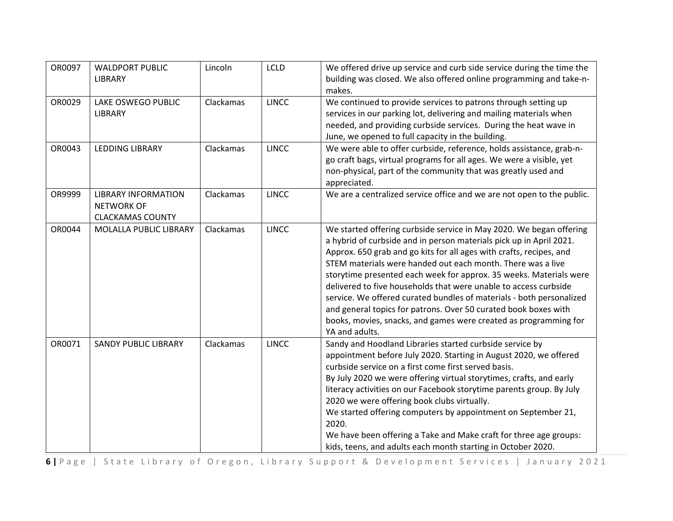| OR0097 | <b>WALDPORT PUBLIC</b><br>LIBRARY                                          | Lincoln   | <b>LCLD</b>  | We offered drive up service and curb side service during the time the<br>building was closed. We also offered online programming and take-n-<br>makes.                                                                                                                                                                                                                                                                                                                                                                                                                                                                                                      |
|--------|----------------------------------------------------------------------------|-----------|--------------|-------------------------------------------------------------------------------------------------------------------------------------------------------------------------------------------------------------------------------------------------------------------------------------------------------------------------------------------------------------------------------------------------------------------------------------------------------------------------------------------------------------------------------------------------------------------------------------------------------------------------------------------------------------|
| OR0029 | LAKE OSWEGO PUBLIC<br>LIBRARY                                              | Clackamas | <b>LINCC</b> | We continued to provide services to patrons through setting up<br>services in our parking lot, delivering and mailing materials when<br>needed, and providing curbside services. During the heat wave in<br>June, we opened to full capacity in the building.                                                                                                                                                                                                                                                                                                                                                                                               |
| OR0043 | LEDDING LIBRARY                                                            | Clackamas | <b>LINCC</b> | We were able to offer curbside, reference, holds assistance, grab-n-<br>go craft bags, virtual programs for all ages. We were a visible, yet<br>non-physical, part of the community that was greatly used and<br>appreciated.                                                                                                                                                                                                                                                                                                                                                                                                                               |
| OR9999 | <b>LIBRARY INFORMATION</b><br><b>NETWORK OF</b><br><b>CLACKAMAS COUNTY</b> | Clackamas | <b>LINCC</b> | We are a centralized service office and we are not open to the public.                                                                                                                                                                                                                                                                                                                                                                                                                                                                                                                                                                                      |
| OR0044 | MOLALLA PUBLIC LIBRARY                                                     | Clackamas | <b>LINCC</b> | We started offering curbside service in May 2020. We began offering<br>a hybrid of curbside and in person materials pick up in April 2021.<br>Approx. 650 grab and go kits for all ages with crafts, recipes, and<br>STEM materials were handed out each month. There was a live<br>storytime presented each week for approx. 35 weeks. Materials were<br>delivered to five households that were unable to access curbside<br>service. We offered curated bundles of materials - both personalized<br>and general topics for patrons. Over 50 curated book boxes with<br>books, movies, snacks, and games were created as programming for<br>YA and adults. |
| OR0071 | <b>SANDY PUBLIC LIBRARY</b>                                                | Clackamas | <b>LINCC</b> | Sandy and Hoodland Libraries started curbside service by<br>appointment before July 2020. Starting in August 2020, we offered<br>curbside service on a first come first served basis.<br>By July 2020 we were offering virtual storytimes, crafts, and early<br>literacy activities on our Facebook storytime parents group. By July<br>2020 we were offering book clubs virtually.<br>We started offering computers by appointment on September 21,<br>2020.<br>We have been offering a Take and Make craft for three age groups:<br>kids, teens, and adults each month starting in October 2020.                                                          |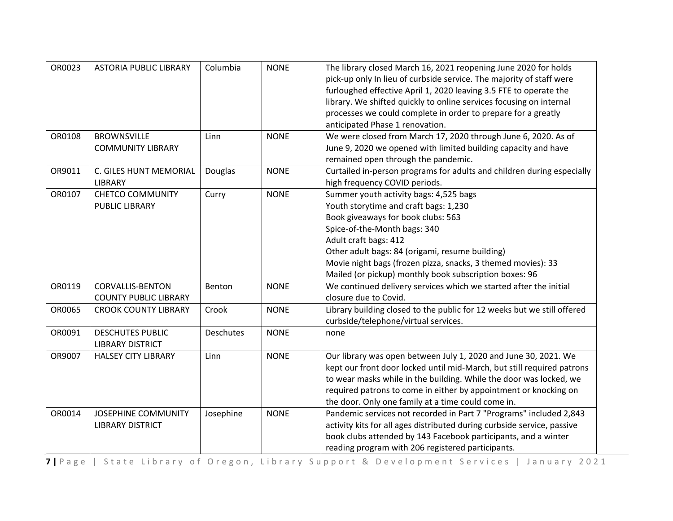| OR0023<br>OR0108 | <b>ASTORIA PUBLIC LIBRARY</b><br><b>BROWNSVILLE</b>     | Columbia<br>Linn | <b>NONE</b><br><b>NONE</b> | The library closed March 16, 2021 reopening June 2020 for holds<br>pick-up only In lieu of curbside service. The majority of staff were<br>furloughed effective April 1, 2020 leaving 3.5 FTE to operate the<br>library. We shifted quickly to online services focusing on internal<br>processes we could complete in order to prepare for a greatly<br>anticipated Phase 1 renovation.<br>We were closed from March 17, 2020 through June 6, 2020. As of |
|------------------|---------------------------------------------------------|------------------|----------------------------|-----------------------------------------------------------------------------------------------------------------------------------------------------------------------------------------------------------------------------------------------------------------------------------------------------------------------------------------------------------------------------------------------------------------------------------------------------------|
|                  | <b>COMMUNITY LIBRARY</b>                                |                  |                            | June 9, 2020 we opened with limited building capacity and have<br>remained open through the pandemic.                                                                                                                                                                                                                                                                                                                                                     |
| OR9011           | C. GILES HUNT MEMORIAL<br>LIBRARY                       | Douglas          | <b>NONE</b>                | Curtailed in-person programs for adults and children during especially<br>high frequency COVID periods.                                                                                                                                                                                                                                                                                                                                                   |
| OR0107           | <b>CHETCO COMMUNITY</b><br><b>PUBLIC LIBRARY</b>        | Curry            | <b>NONE</b>                | Summer youth activity bags: 4,525 bags<br>Youth storytime and craft bags: 1,230<br>Book giveaways for book clubs: 563<br>Spice-of-the-Month bags: 340<br>Adult craft bags: 412<br>Other adult bags: 84 (origami, resume building)<br>Movie night bags (frozen pizza, snacks, 3 themed movies): 33<br>Mailed (or pickup) monthly book subscription boxes: 96                                                                                               |
| OR0119           | <b>CORVALLIS-BENTON</b><br><b>COUNTY PUBLIC LIBRARY</b> | Benton           | <b>NONE</b>                | We continued delivery services which we started after the initial<br>closure due to Covid.                                                                                                                                                                                                                                                                                                                                                                |
| OR0065           | <b>CROOK COUNTY LIBRARY</b>                             | Crook            | <b>NONE</b>                | Library building closed to the public for 12 weeks but we still offered<br>curbside/telephone/virtual services.                                                                                                                                                                                                                                                                                                                                           |
| OR0091           | <b>DESCHUTES PUBLIC</b><br><b>LIBRARY DISTRICT</b>      | <b>Deschutes</b> | <b>NONE</b>                | none                                                                                                                                                                                                                                                                                                                                                                                                                                                      |
| OR9007           | <b>HALSEY CITY LIBRARY</b>                              | Linn             | <b>NONE</b>                | Our library was open between July 1, 2020 and June 30, 2021. We<br>kept our front door locked until mid-March, but still required patrons<br>to wear masks while in the building. While the door was locked, we<br>required patrons to come in either by appointment or knocking on<br>the door. Only one family at a time could come in.                                                                                                                 |
| OR0014           | <b>JOSEPHINE COMMUNITY</b><br><b>LIBRARY DISTRICT</b>   | Josephine        | <b>NONE</b>                | Pandemic services not recorded in Part 7 "Programs" included 2,843<br>activity kits for all ages distributed during curbside service, passive<br>book clubs attended by 143 Facebook participants, and a winter<br>reading program with 206 registered participants.                                                                                                                                                                                      |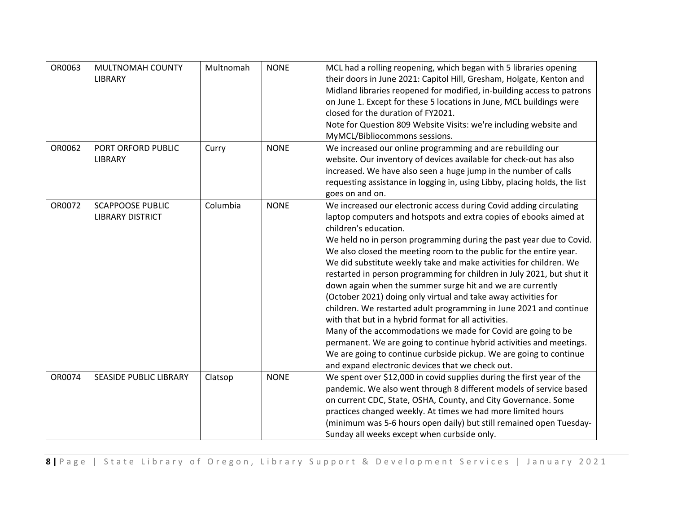| OR0063 | MULTNOMAH COUNTY<br>LIBRARY                        | Multnomah | <b>NONE</b> | MCL had a rolling reopening, which began with 5 libraries opening<br>their doors in June 2021: Capitol Hill, Gresham, Holgate, Kenton and<br>Midland libraries reopened for modified, in-building access to patrons<br>on June 1. Except for these 5 locations in June, MCL buildings were<br>closed for the duration of FY2021.<br>Note for Question 809 Website Visits: we're including website and<br>MyMCL/Bibliocommons sessions.                                                                                                                                                                                                                                                                                                                                                                                                                                                                                                                                                      |
|--------|----------------------------------------------------|-----------|-------------|---------------------------------------------------------------------------------------------------------------------------------------------------------------------------------------------------------------------------------------------------------------------------------------------------------------------------------------------------------------------------------------------------------------------------------------------------------------------------------------------------------------------------------------------------------------------------------------------------------------------------------------------------------------------------------------------------------------------------------------------------------------------------------------------------------------------------------------------------------------------------------------------------------------------------------------------------------------------------------------------|
| OR0062 | PORT ORFORD PUBLIC<br><b>LIBRARY</b>               | Curry     | <b>NONE</b> | We increased our online programming and are rebuilding our<br>website. Our inventory of devices available for check-out has also<br>increased. We have also seen a huge jump in the number of calls<br>requesting assistance in logging in, using Libby, placing holds, the list<br>goes on and on.                                                                                                                                                                                                                                                                                                                                                                                                                                                                                                                                                                                                                                                                                         |
| OR0072 | <b>SCAPPOOSE PUBLIC</b><br><b>LIBRARY DISTRICT</b> | Columbia  | <b>NONE</b> | We increased our electronic access during Covid adding circulating<br>laptop computers and hotspots and extra copies of ebooks aimed at<br>children's education.<br>We held no in person programming during the past year due to Covid.<br>We also closed the meeting room to the public for the entire year.<br>We did substitute weekly take and make activities for children. We<br>restarted in person programming for children in July 2021, but shut it<br>down again when the summer surge hit and we are currently<br>(October 2021) doing only virtual and take away activities for<br>children. We restarted adult programming in June 2021 and continue<br>with that but in a hybrid format for all activities.<br>Many of the accommodations we made for Covid are going to be<br>permanent. We are going to continue hybrid activities and meetings.<br>We are going to continue curbside pickup. We are going to continue<br>and expand electronic devices that we check out. |
| OR0074 | <b>SEASIDE PUBLIC LIBRARY</b>                      | Clatsop   | <b>NONE</b> | We spent over \$12,000 in covid supplies during the first year of the<br>pandemic. We also went through 8 different models of service based<br>on current CDC, State, OSHA, County, and City Governance. Some<br>practices changed weekly. At times we had more limited hours<br>(minimum was 5-6 hours open daily) but still remained open Tuesday-<br>Sunday all weeks except when curbside only.                                                                                                                                                                                                                                                                                                                                                                                                                                                                                                                                                                                         |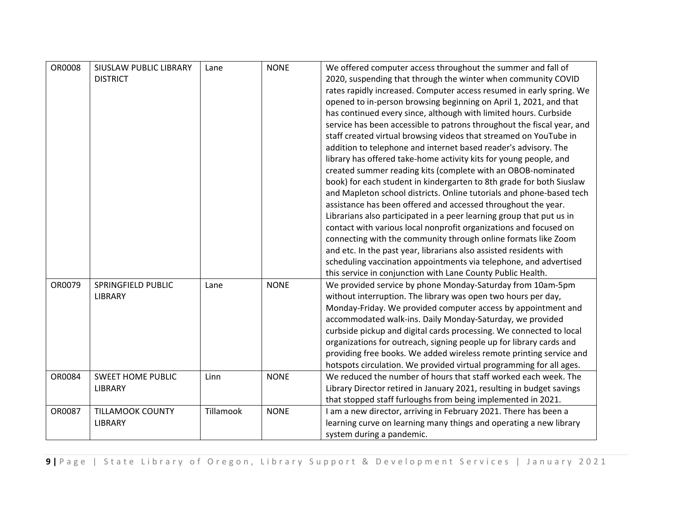| <b>OR0008</b> | <b>SIUSLAW PUBLIC LIBRARY</b> | Lane      | <b>NONE</b> | We offered computer access throughout the summer and fall of           |
|---------------|-------------------------------|-----------|-------------|------------------------------------------------------------------------|
|               | <b>DISTRICT</b>               |           |             | 2020, suspending that through the winter when community COVID          |
|               |                               |           |             | rates rapidly increased. Computer access resumed in early spring. We   |
|               |                               |           |             | opened to in-person browsing beginning on April 1, 2021, and that      |
|               |                               |           |             | has continued every since, although with limited hours. Curbside       |
|               |                               |           |             | service has been accessible to patrons throughout the fiscal year, and |
|               |                               |           |             | staff created virtual browsing videos that streamed on YouTube in      |
|               |                               |           |             | addition to telephone and internet based reader's advisory. The        |
|               |                               |           |             | library has offered take-home activity kits for young people, and      |
|               |                               |           |             | created summer reading kits (complete with an OBOB-nominated           |
|               |                               |           |             | book) for each student in kindergarten to 8th grade for both Siuslaw   |
|               |                               |           |             | and Mapleton school districts. Online tutorials and phone-based tech   |
|               |                               |           |             | assistance has been offered and accessed throughout the year.          |
|               |                               |           |             | Librarians also participated in a peer learning group that put us in   |
|               |                               |           |             | contact with various local nonprofit organizations and focused on      |
|               |                               |           |             | connecting with the community through online formats like Zoom         |
|               |                               |           |             | and etc. In the past year, librarians also assisted residents with     |
|               |                               |           |             | scheduling vaccination appointments via telephone, and advertised      |
|               |                               |           |             | this service in conjunction with Lane County Public Health.            |
| OR0079        | SPRINGFIELD PUBLIC            | Lane      | <b>NONE</b> | We provided service by phone Monday-Saturday from 10am-5pm             |
|               | LIBRARY                       |           |             | without interruption. The library was open two hours per day,          |
|               |                               |           |             | Monday-Friday. We provided computer access by appointment and          |
|               |                               |           |             | accommodated walk-ins. Daily Monday-Saturday, we provided              |
|               |                               |           |             | curbside pickup and digital cards processing. We connected to local    |
|               |                               |           |             | organizations for outreach, signing people up for library cards and    |
|               |                               |           |             | providing free books. We added wireless remote printing service and    |
|               |                               |           |             | hotspots circulation. We provided virtual programming for all ages.    |
| OR0084        | <b>SWEET HOME PUBLIC</b>      | Linn      | <b>NONE</b> | We reduced the number of hours that staff worked each week. The        |
|               | LIBRARY                       |           |             | Library Director retired in January 2021, resulting in budget savings  |
|               |                               |           |             | that stopped staff furloughs from being implemented in 2021.           |
| OR0087        | <b>TILLAMOOK COUNTY</b>       | Tillamook | <b>NONE</b> | I am a new director, arriving in February 2021. There has been a       |
|               | LIBRARY                       |           |             | learning curve on learning many things and operating a new library     |
|               |                               |           |             | system during a pandemic.                                              |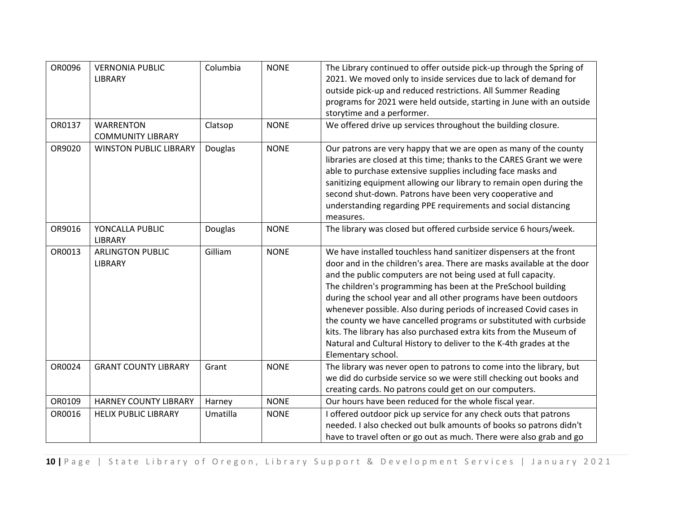| OR0096 | <b>VERNONIA PUBLIC</b><br>LIBRARY            | Columbia | <b>NONE</b> | The Library continued to offer outside pick-up through the Spring of<br>2021. We moved only to inside services due to lack of demand for<br>outside pick-up and reduced restrictions. All Summer Reading<br>programs for 2021 were held outside, starting in June with an outside<br>storytime and a performer.                                                                                                                                                                                                                                                                                                                                                  |
|--------|----------------------------------------------|----------|-------------|------------------------------------------------------------------------------------------------------------------------------------------------------------------------------------------------------------------------------------------------------------------------------------------------------------------------------------------------------------------------------------------------------------------------------------------------------------------------------------------------------------------------------------------------------------------------------------------------------------------------------------------------------------------|
| OR0137 | <b>WARRENTON</b><br><b>COMMUNITY LIBRARY</b> | Clatsop  | <b>NONE</b> | We offered drive up services throughout the building closure.                                                                                                                                                                                                                                                                                                                                                                                                                                                                                                                                                                                                    |
| OR9020 | <b>WINSTON PUBLIC LIBRARY</b>                | Douglas  | <b>NONE</b> | Our patrons are very happy that we are open as many of the county<br>libraries are closed at this time; thanks to the CARES Grant we were<br>able to purchase extensive supplies including face masks and<br>sanitizing equipment allowing our library to remain open during the<br>second shut-down. Patrons have been very cooperative and<br>understanding regarding PPE requirements and social distancing<br>measures.                                                                                                                                                                                                                                      |
| OR9016 | YONCALLA PUBLIC<br>LIBRARY                   | Douglas  | <b>NONE</b> | The library was closed but offered curbside service 6 hours/week.                                                                                                                                                                                                                                                                                                                                                                                                                                                                                                                                                                                                |
| OR0013 | <b>ARLINGTON PUBLIC</b><br>LIBRARY           | Gilliam  | <b>NONE</b> | We have installed touchless hand sanitizer dispensers at the front<br>door and in the children's area. There are masks available at the door<br>and the public computers are not being used at full capacity.<br>The children's programming has been at the PreSchool building<br>during the school year and all other programs have been outdoors<br>whenever possible. Also during periods of increased Covid cases in<br>the county we have cancelled programs or substituted with curbside<br>kits. The library has also purchased extra kits from the Museum of<br>Natural and Cultural History to deliver to the K-4th grades at the<br>Elementary school. |
| OR0024 | <b>GRANT COUNTY LIBRARY</b>                  | Grant    | <b>NONE</b> | The library was never open to patrons to come into the library, but<br>we did do curbside service so we were still checking out books and<br>creating cards. No patrons could get on our computers.                                                                                                                                                                                                                                                                                                                                                                                                                                                              |
| OR0109 | <b>HARNEY COUNTY LIBRARY</b>                 | Harney   | <b>NONE</b> | Our hours have been reduced for the whole fiscal year.                                                                                                                                                                                                                                                                                                                                                                                                                                                                                                                                                                                                           |
| OR0016 | <b>HELIX PUBLIC LIBRARY</b>                  | Umatilla | <b>NONE</b> | I offered outdoor pick up service for any check outs that patrons<br>needed. I also checked out bulk amounts of books so patrons didn't<br>have to travel often or go out as much. There were also grab and go                                                                                                                                                                                                                                                                                                                                                                                                                                                   |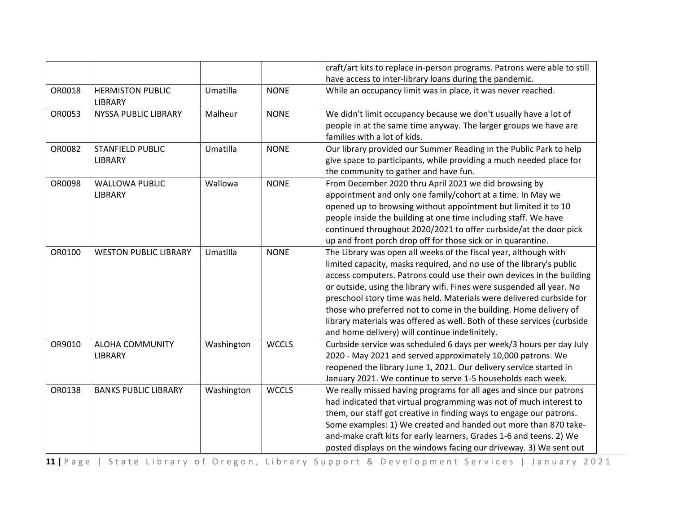|        |                                           |            |              | craft/art kits to replace in-person programs. Patrons were able to still<br>have access to inter-library loans during the pandemic.                                                                                                                                                                                                                                                                                                                                                                                                                                  |
|--------|-------------------------------------------|------------|--------------|----------------------------------------------------------------------------------------------------------------------------------------------------------------------------------------------------------------------------------------------------------------------------------------------------------------------------------------------------------------------------------------------------------------------------------------------------------------------------------------------------------------------------------------------------------------------|
| OR0018 | <b>HERMISTON PUBLIC</b><br><b>LIBRARY</b> | Umatilla   | <b>NONE</b>  | While an occupancy limit was in place, it was never reached.                                                                                                                                                                                                                                                                                                                                                                                                                                                                                                         |
| OR0053 | <b>NYSSA PUBLIC LIBRARY</b>               | Malheur    | <b>NONE</b>  | We didn't limit occupancy because we don't usually have a lot of<br>people in at the same time anyway. The larger groups we have are<br>families with a lot of kids.                                                                                                                                                                                                                                                                                                                                                                                                 |
| OR0082 | <b>STANFIELD PUBLIC</b><br>LIBRARY        | Umatilla   | <b>NONE</b>  | Our library provided our Summer Reading in the Public Park to help<br>give space to participants, while providing a much needed place for<br>the community to gather and have fun.                                                                                                                                                                                                                                                                                                                                                                                   |
| OR0098 | <b>WALLOWA PUBLIC</b><br>LIBRARY          | Wallowa    | <b>NONE</b>  | From December 2020 thru April 2021 we did browsing by<br>appointment and only one family/cohort at a time. In May we<br>opened up to browsing without appointment but limited it to 10<br>people inside the building at one time including staff. We have<br>continued throughout 2020/2021 to offer curbside/at the door pick<br>up and front porch drop off for those sick or in quarantine.                                                                                                                                                                       |
| OR0100 | <b>WESTON PUBLIC LIBRARY</b>              | Umatilla   | <b>NONE</b>  | The Library was open all weeks of the fiscal year, although with<br>limited capacity, masks required, and no use of the library's public<br>access computers. Patrons could use their own devices in the building<br>or outside, using the library wifi. Fines were suspended all year. No<br>preschool story time was held. Materials were delivered curbside for<br>those who preferred not to come in the building. Home delivery of<br>library materials was offered as well. Both of these services (curbside<br>and home delivery) will continue indefinitely. |
| OR9010 | <b>ALOHA COMMUNITY</b><br>LIBRARY         | Washington | <b>WCCLS</b> | Curbside service was scheduled 6 days per week/3 hours per day July<br>2020 - May 2021 and served approximately 10,000 patrons. We<br>reopened the library June 1, 2021. Our delivery service started in<br>January 2021. We continue to serve 1-5 households each week.                                                                                                                                                                                                                                                                                             |
| OR0138 | <b>BANKS PUBLIC LIBRARY</b>               | Washington | <b>WCCLS</b> | We really missed having programs for all ages and since our patrons<br>had indicated that virtual programming was not of much interest to<br>them, our staff got creative in finding ways to engage our patrons.<br>Some examples: 1) We created and handed out more than 870 take-<br>and-make craft kits for early learners, Grades 1-6 and teens. 2) We<br>posted displays on the windows facing our driveway. 3) We sent out                                                                                                                                     |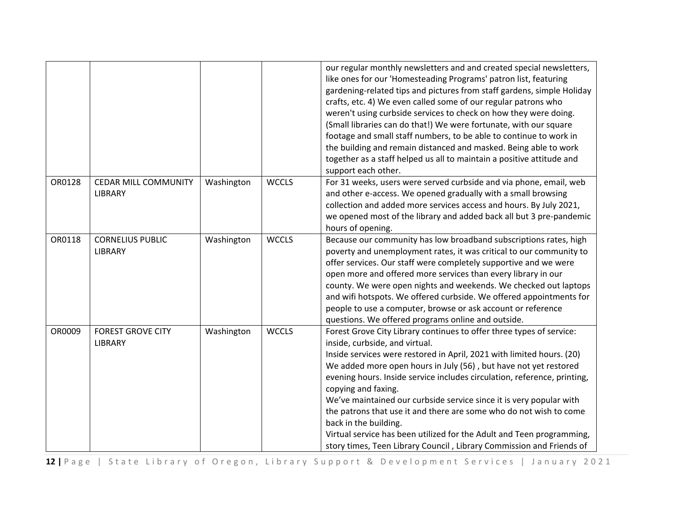|        |                                        |            |              | our regular monthly newsletters and and created special newsletters,<br>like ones for our 'Homesteading Programs' patron list, featuring<br>gardening-related tips and pictures from staff gardens, simple Holiday<br>crafts, etc. 4) We even called some of our regular patrons who<br>weren't using curbside services to check on how they were doing.<br>(Small libraries can do that!) We were fortunate, with our square<br>footage and small staff numbers, to be able to continue to work in<br>the building and remain distanced and masked. Being able to work<br>together as a staff helped us all to maintain a positive attitude and<br>support each other.       |
|--------|----------------------------------------|------------|--------------|-------------------------------------------------------------------------------------------------------------------------------------------------------------------------------------------------------------------------------------------------------------------------------------------------------------------------------------------------------------------------------------------------------------------------------------------------------------------------------------------------------------------------------------------------------------------------------------------------------------------------------------------------------------------------------|
| OR0128 | <b>CEDAR MILL COMMUNITY</b><br>LIBRARY | Washington | <b>WCCLS</b> | For 31 weeks, users were served curbside and via phone, email, web<br>and other e-access. We opened gradually with a small browsing<br>collection and added more services access and hours. By July 2021,<br>we opened most of the library and added back all but 3 pre-pandemic<br>hours of opening.                                                                                                                                                                                                                                                                                                                                                                         |
| OR0118 | <b>CORNELIUS PUBLIC</b><br>LIBRARY     | Washington | <b>WCCLS</b> | Because our community has low broadband subscriptions rates, high<br>poverty and unemployment rates, it was critical to our community to<br>offer services. Our staff were completely supportive and we were<br>open more and offered more services than every library in our<br>county. We were open nights and weekends. We checked out laptops<br>and wifi hotspots. We offered curbside. We offered appointments for<br>people to use a computer, browse or ask account or reference<br>questions. We offered programs online and outside.                                                                                                                                |
| OR0009 | <b>FOREST GROVE CITY</b><br>LIBRARY    | Washington | <b>WCCLS</b> | Forest Grove City Library continues to offer three types of service:<br>inside, curbside, and virtual.<br>Inside services were restored in April, 2021 with limited hours. (20)<br>We added more open hours in July (56), but have not yet restored<br>evening hours. Inside service includes circulation, reference, printing,<br>copying and faxing.<br>We've maintained our curbside service since it is very popular with<br>the patrons that use it and there are some who do not wish to come<br>back in the building.<br>Virtual service has been utilized for the Adult and Teen programming,<br>story times, Teen Library Council, Library Commission and Friends of |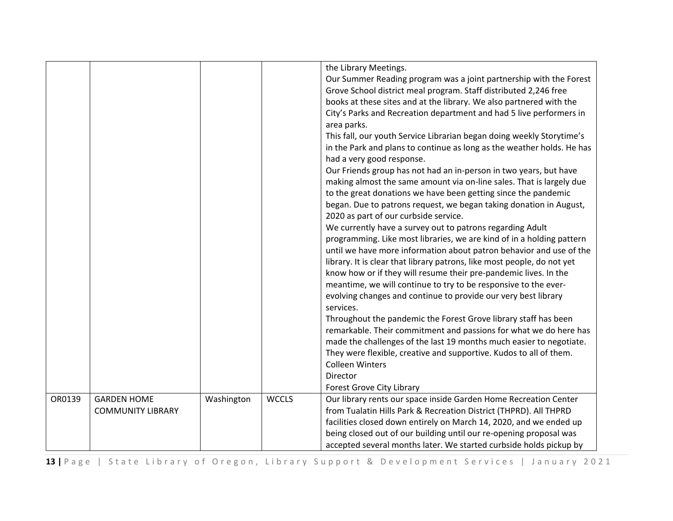|        |                          |            |              | the Library Meetings.                                                   |
|--------|--------------------------|------------|--------------|-------------------------------------------------------------------------|
|        |                          |            |              | Our Summer Reading program was a joint partnership with the Forest      |
|        |                          |            |              | Grove School district meal program. Staff distributed 2,246 free        |
|        |                          |            |              | books at these sites and at the library. We also partnered with the     |
|        |                          |            |              | City's Parks and Recreation department and had 5 live performers in     |
|        |                          |            |              |                                                                         |
|        |                          |            |              | area parks.                                                             |
|        |                          |            |              | This fall, our youth Service Librarian began doing weekly Storytime's   |
|        |                          |            |              | in the Park and plans to continue as long as the weather holds. He has  |
|        |                          |            |              | had a very good response.                                               |
|        |                          |            |              | Our Friends group has not had an in-person in two years, but have       |
|        |                          |            |              | making almost the same amount via on-line sales. That is largely due    |
|        |                          |            |              | to the great donations we have been getting since the pandemic          |
|        |                          |            |              | began. Due to patrons request, we began taking donation in August,      |
|        |                          |            |              | 2020 as part of our curbside service.                                   |
|        |                          |            |              | We currently have a survey out to patrons regarding Adult               |
|        |                          |            |              | programming. Like most libraries, we are kind of in a holding pattern   |
|        |                          |            |              | until we have more information about patron behavior and use of the     |
|        |                          |            |              | library. It is clear that library patrons, like most people, do not yet |
|        |                          |            |              | know how or if they will resume their pre-pandemic lives. In the        |
|        |                          |            |              | meantime, we will continue to try to be responsive to the ever-         |
|        |                          |            |              | evolving changes and continue to provide our very best library          |
|        |                          |            |              | services.                                                               |
|        |                          |            |              | Throughout the pandemic the Forest Grove library staff has been         |
|        |                          |            |              | remarkable. Their commitment and passions for what we do here has       |
|        |                          |            |              | made the challenges of the last 19 months much easier to negotiate.     |
|        |                          |            |              | They were flexible, creative and supportive. Kudos to all of them.      |
|        |                          |            |              | <b>Colleen Winters</b>                                                  |
|        |                          |            |              | Director                                                                |
|        |                          |            |              | <b>Forest Grove City Library</b>                                        |
| OR0139 | <b>GARDEN HOME</b>       | Washington | <b>WCCLS</b> | Our library rents our space inside Garden Home Recreation Center        |
|        | <b>COMMUNITY LIBRARY</b> |            |              | from Tualatin Hills Park & Recreation District (THPRD). All THPRD       |
|        |                          |            |              | facilities closed down entirely on March 14, 2020, and we ended up      |
|        |                          |            |              | being closed out of our building until our re-opening proposal was      |
|        |                          |            |              | accepted several months later. We started curbside holds pickup by      |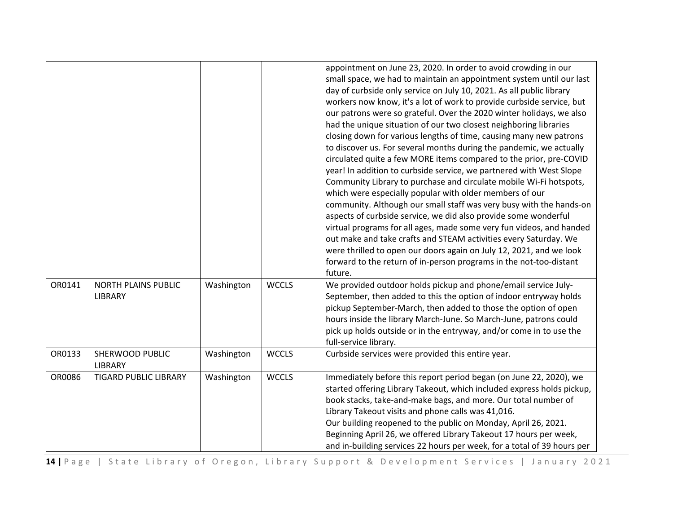|        |                                       |            |              | appointment on June 23, 2020. In order to avoid crowding in our<br>small space, we had to maintain an appointment system until our last<br>day of curbside only service on July 10, 2021. As all public library<br>workers now know, it's a lot of work to provide curbside service, but<br>our patrons were so grateful. Over the 2020 winter holidays, we also<br>had the unique situation of our two closest neighboring libraries<br>closing down for various lengths of time, causing many new patrons<br>to discover us. For several months during the pandemic, we actually<br>circulated quite a few MORE items compared to the prior, pre-COVID<br>year! In addition to curbside service, we partnered with West Slope<br>Community Library to purchase and circulate mobile Wi-Fi hotspots,<br>which were especially popular with older members of our<br>community. Although our small staff was very busy with the hands-on<br>aspects of curbside service, we did also provide some wonderful<br>virtual programs for all ages, made some very fun videos, and handed<br>out make and take crafts and STEAM activities every Saturday. We<br>were thrilled to open our doors again on July 12, 2021, and we look<br>forward to the return of in-person programs in the not-too-distant<br>future. |
|--------|---------------------------------------|------------|--------------|----------------------------------------------------------------------------------------------------------------------------------------------------------------------------------------------------------------------------------------------------------------------------------------------------------------------------------------------------------------------------------------------------------------------------------------------------------------------------------------------------------------------------------------------------------------------------------------------------------------------------------------------------------------------------------------------------------------------------------------------------------------------------------------------------------------------------------------------------------------------------------------------------------------------------------------------------------------------------------------------------------------------------------------------------------------------------------------------------------------------------------------------------------------------------------------------------------------------------------------------------------------------------------------------------------------|
| OR0141 | <b>NORTH PLAINS PUBLIC</b><br>LIBRARY | Washington | <b>WCCLS</b> | We provided outdoor holds pickup and phone/email service July-<br>September, then added to this the option of indoor entryway holds<br>pickup September-March, then added to those the option of open<br>hours inside the library March-June. So March-June, patrons could<br>pick up holds outside or in the entryway, and/or come in to use the<br>full-service library.                                                                                                                                                                                                                                                                                                                                                                                                                                                                                                                                                                                                                                                                                                                                                                                                                                                                                                                                     |
| OR0133 | SHERWOOD PUBLIC<br><b>LIBRARY</b>     | Washington | <b>WCCLS</b> | Curbside services were provided this entire year.                                                                                                                                                                                                                                                                                                                                                                                                                                                                                                                                                                                                                                                                                                                                                                                                                                                                                                                                                                                                                                                                                                                                                                                                                                                              |
| OR0086 | <b>TIGARD PUBLIC LIBRARY</b>          | Washington | <b>WCCLS</b> | Immediately before this report period began (on June 22, 2020), we<br>started offering Library Takeout, which included express holds pickup,<br>book stacks, take-and-make bags, and more. Our total number of<br>Library Takeout visits and phone calls was 41,016.<br>Our building reopened to the public on Monday, April 26, 2021.<br>Beginning April 26, we offered Library Takeout 17 hours per week,<br>and in-building services 22 hours per week, for a total of 39 hours per                                                                                                                                                                                                                                                                                                                                                                                                                                                                                                                                                                                                                                                                                                                                                                                                                         |